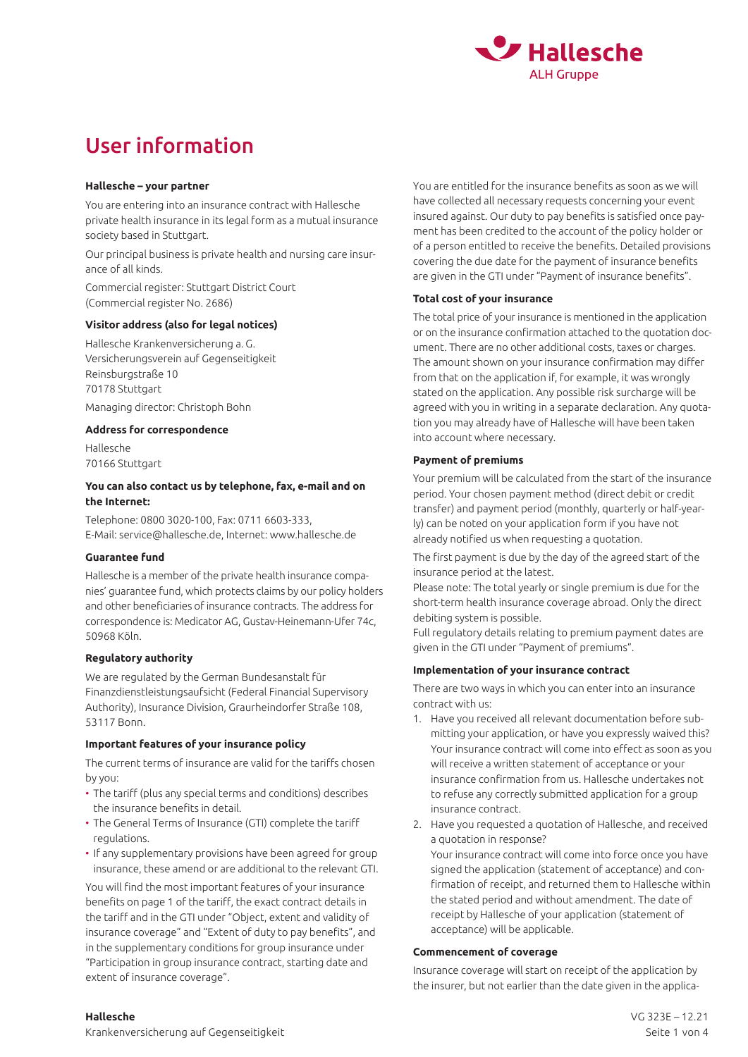

# User information

#### **Hallesche – your partner**

You are entering into an insurance contract with Hallesche private health insurance in its legal form as a mutual insurance society based in Stuttgart.

Our principal business is private health and nursing care insurance of all kinds.

Commercial register: Stuttgart District Court (Commercial register No. 2686)

# **Visitor address (also for legal notices)**

Hallesche Krankenversicherung a. G. Versicherungsverein auf Gegenseitigkeit Reinsburgstraße 10 70178 Stuttgart Managing director: Christoph Bohn

# **Address for correspondence**

Hallesche 70166 Stuttgart

#### **You can also contact us by telephone, fax, e-mail and on the Internet:**

Telephone: 0800 3020-100, Fax: 0711 6603-333, E-Mail: service@hallesche.de, Internet: www.hallesche.de

#### **Guarantee fund**

Hallesche is a member of the private health insurance companies' guarantee fund, which protects claims by our policy holders and other beneficiaries of insurance contracts. The address for correspondence is: Medicator AG, Gustav-Heinemann-Ufer 74c, 50968 Köln.

# **Regulatory authority**

We are regulated by the German Bundesanstalt für Finanzdienstleistungsaufsicht (Federal Financial Supervisory Authority), Insurance Division, Graurheindorfer Straße 108, 53117 Bonn.

# **Important features of your insurance policy**

The current terms of insurance are valid for the tariffs chosen by you:

- The tariff (plus any special terms and conditions) describes the insurance benefits in detail.
- The General Terms of Insurance (GTI) complete the tariff regulations.
- If any supplementary provisions have been agreed for group insurance, these amend or are additional to the relevant GTI.

You will find the most important features of your insurance benefits on page 1 of the tariff, the exact contract details in the tariff and in the GTI under "Object, extent and validity of insurance coverage" and "Extent of duty to pay benefits", and in the supplementary conditions for group insurance under "Participation in group insurance contract, starting date and extent of insurance coverage".

You are entitled for the insurance benefits as soon as we will have collected all necessary requests concerning your event insured against. Our duty to pay benefits is satisfied once payment has been credited to the account of the policy holder or of a person entitled to receive the benefits. Detailed provisions covering the due date for the payment of insurance benefits are given in the GTI under "Payment of insurance benefits".

# **Total cost of your insurance**

The total price of your insurance is mentioned in the application or on the insurance confirmation attached to the quotation document. There are no other additional costs, taxes or charges. The amount shown on your insurance confirmation may differ from that on the application if, for example, it was wrongly stated on the application. Any possible risk surcharge will be agreed with you in writing in a separate declaration. Any quotation you may already have of Hallesche will have been taken into account where necessary.

#### **Payment of premiums**

Your premium will be calculated from the start of the insurance period. Your chosen payment method (direct debit or credit transfer) and payment period (monthly, quarterly or half-yearly) can be noted on your application form if you have not already notified us when requesting a quotation.

The first payment is due by the day of the agreed start of the insurance period at the latest.

Please note: The total yearly or single premium is due for the short-term health insurance coverage abroad. Only the direct debiting system is possible.

Full regulatory details relating to premium payment dates are given in the GTI under "Payment of premiums".

# **Implementation of your insurance contract**

There are two ways in which you can enter into an insurance contract with us:

- 1. Have you received all relevant documentation before submitting your application, or have you expressly waived this? Your insurance contract will come into effect as soon as you will receive a written statement of acceptance or your insurance confirmation from us. Hallesche undertakes not to refuse any correctly submitted application for a group insurance contract.
- 2. Have you requested a quotation of Hallesche, and received a quotation in response?

Your insurance contract will come into force once you have signed the application (statement of acceptance) and confirmation of receipt, and returned them to Hallesche within the stated period and without amendment. The date of receipt by Hallesche of your application (statement of acceptance) will be applicable.

#### **Commencement of coverage**

Insurance coverage will start on receipt of the application by the insurer, but not earlier than the date given in the applica-

#### **Hallesche**

Krankenversicherung auf Gegenseitigkeit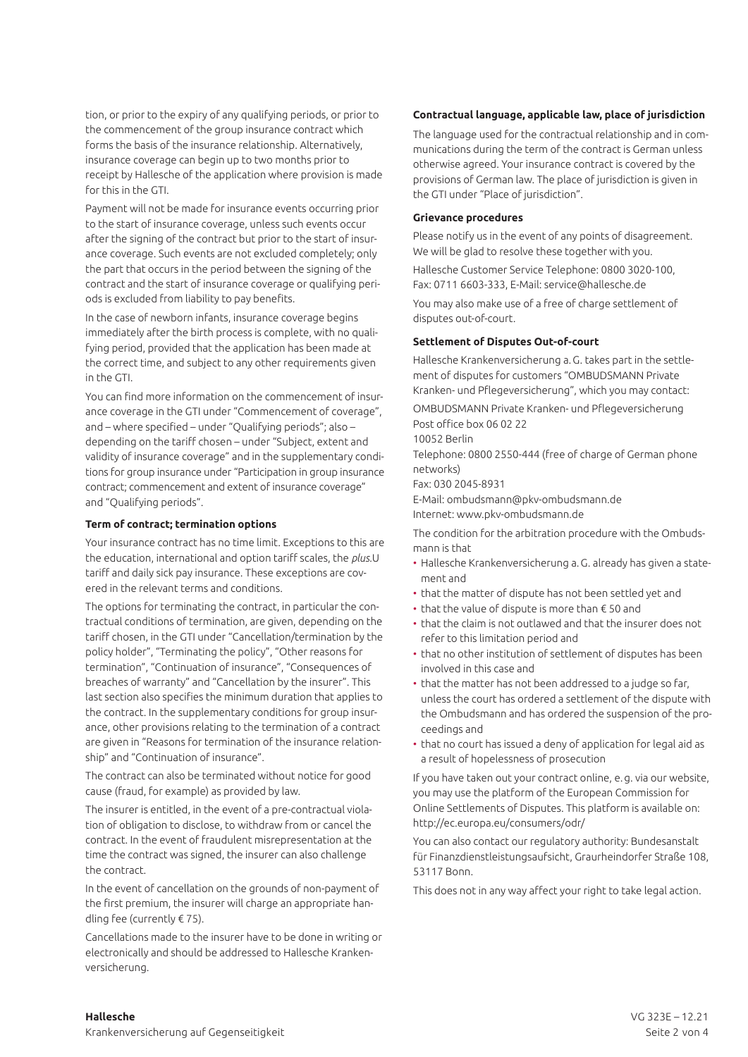tion, or prior to the expiry of any qualifying periods, or prior to the commencement of the group insurance contract which forms the basis of the insurance relationship. Alternatively, insurance coverage can begin up to two months prior to receipt by Hallesche of the application where provision is made for this in the GTI.

Payment will not be made for insurance events occurring prior to the start of insurance coverage, unless such events occur after the signing of the contract but prior to the start of insurance coverage. Such events are not excluded completely; only the part that occurs in the period between the signing of the contract and the start of insurance coverage or qualifying periods is excluded from liability to pay benefits.

In the case of newborn infants, insurance coverage begins immediately after the birth process is complete, with no qualifying period, provided that the application has been made at the correct time, and subject to any other requirements given in the GTI.

You can find more information on the commencement of insurance coverage in the GTI under "Commencement of coverage", and – where specified – under "Qualifying periods"; also – depending on the tariff chosen – under "Subject, extent and validity of insurance coverage" and in the supplementary conditions for group insurance under "Participation in group insurance contract; commencement and extent of insurance coverage" and "Qualifying periods".

#### **Term of contract; termination options**

Your insurance contract has no time limit. Exceptions to this are the education, international and option tariff scales, the *plus.*U tariff and daily sick pay insurance. These exceptions are covered in the relevant terms and conditions.

The options for terminating the contract, in particular the contractual conditions of termination, are given, depending on the tariff chosen, in the GTI under "Cancellation/termination by the policy holder", "Terminating the policy", "Other reasons for termination", "Continuation of insurance", "Consequences of breaches of warranty" and "Cancellation by the insurer". This last section also specifies the minimum duration that applies to the contract. In the supplementary conditions for group insurance, other provisions relating to the termination of a contract are given in "Reasons for termination of the insurance relationship" and "Continuation of insurance".

The contract can also be terminated without notice for good cause (fraud, for example) as provided by law.

The insurer is entitled, in the event of a pre-contractual violation of obligation to disclose, to withdraw from or cancel the contract. In the event of fraudulent misrepresentation at the time the contract was signed, the insurer can also challenge the contract.

In the event of cancellation on the grounds of non-payment of the first premium, the insurer will charge an appropriate handling fee (currently € 75).

Cancellations made to the insurer have to be done in writing or electronically and should be addressed to Hallesche Krankenversicherung.

#### **Contractual language, applicable law, place of jurisdiction**

The language used for the contractual relationship and in communications during the term of the contract is German unless otherwise agreed. Your insurance contract is covered by the provisions of German law. The place of jurisdiction is given in the GTI under "Place of jurisdiction".

#### **Grievance procedures**

Please notify us in the event of any points of disagreement. We will be glad to resolve these together with you.

Hallesche Customer Service Telephone: 0800 3020-100, Fax: 0711 6603-333, E-Mail: service@hallesche.de

You may also make use of a free of charge settlement of disputes out-of-court.

#### **Settlement of Disputes Out-of-court**

Hallesche Krankenversicherung a.G. takes part in the settlement of disputes for customers "OMBUDSMANN Private Kranken- und Pflegeversicherung", which you may contact:

OMBUDSMANN Private Kranken- und Pflegeversicherung Post office box 06 02 22

10052 Berlin

Telephone: 0800 2550-444 (free of charge of German phone networks)

Fax: 030 2045-8931

E-Mail: ombudsmann@pkv-ombudsmann.de

Internet: www.pkv-ombudsmann.de

The condition for the arbitration procedure with the Ombudsmann is that

- Hallesche Krankenversicherung a.G. already has given a statement and
- that the matter of dispute has not been settled yet and
- that the value of dispute is more than € 50 and
- that the claim is not outlawed and that the insurer does not refer to this limitation period and
- that no other institution of settlement of disputes has been involved in this case and
- that the matter has not been addressed to a judge so far, unless the court has ordered a settlement of the dispute with the Ombudsmann and has ordered the suspension of the proceedings and
- that no court has issued a deny of application for legal aid as a result of hopelessness of prosecution

If you have taken out your contract online, e.g. via our website, you may use the platform of the European Commission for Online Settlements of Disputes. This platform is available on: http://ec.europa.eu/consumers/odr/

You can also contact our regulatory authority: Bundesanstalt für Finanzdienstleistungsaufsicht, Graurheindorfer Straße 108, 53117 Bonn.

This does not in any way affect your right to take legal action.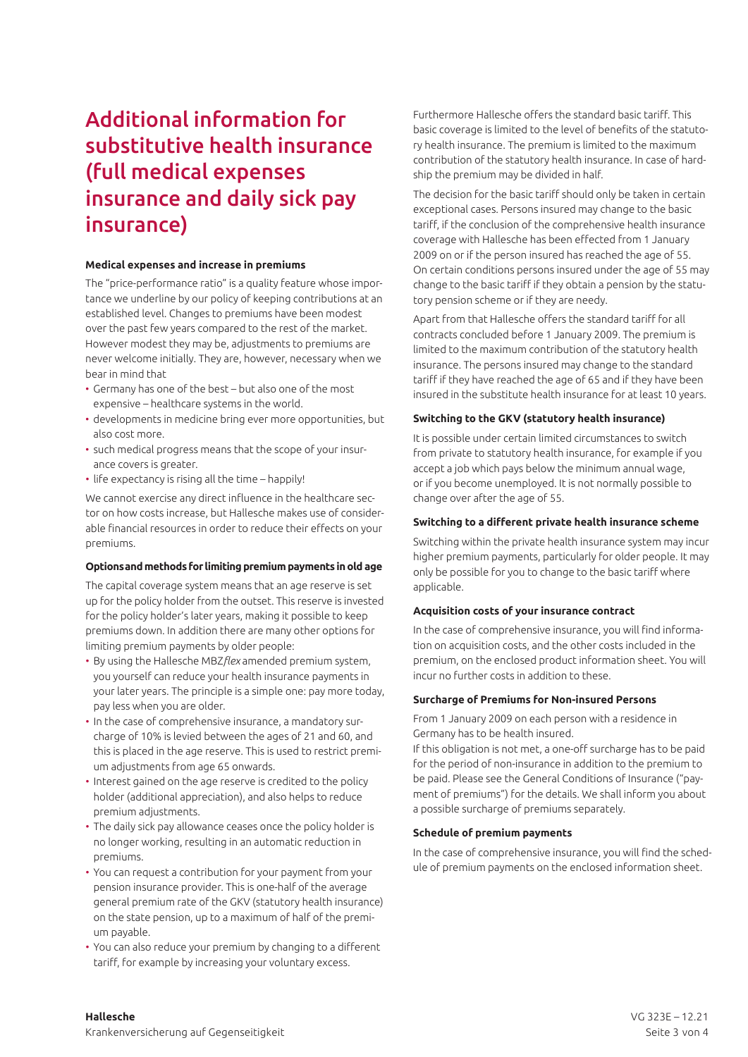# Additional information for substitutive health insurance (full medical expenses insurance and daily sick pay insurance)

#### **Medical expenses and increase in premiums**

The "price-performance ratio" is a quality feature whose importance we underline by our policy of keeping contributions at an established level. Changes to premiums have been modest over the past few years compared to the rest of the market. However modest they may be, adjustments to premiums are never welcome initially. They are, however, necessary when we bear in mind that

- Germany has one of the best but also one of the most expensive – healthcare systems in the world.
- developments in medicine bring ever more opportunities, but also cost more.
- such medical progress means that the scope of your insurance covers is greater.
- life expectancy is rising all the time happily!

We cannot exercise any direct influence in the healthcare sector on how costs increase, but Hallesche makes use of considerable financial resources in order to reduce their effects on your premiums.

# **Options and methods for limiting premium payments in old age**

The capital coverage system means that an age reserve is set up for the policy holder from the outset. This reserve is invested for the policy holder's later years, making it possible to keep premiums down. In addition there are many other options for limiting premium payments by older people:

- By using the Hallesche MBZ*flex* amended premium system, you yourself can reduce your health insurance payments in your later years. The principle is a simple one: pay more today, pay less when you are older.
- In the case of comprehensive insurance, a mandatory surcharge of 10% is levied between the ages of 21 and 60, and this is placed in the age reserve. This is used to restrict premium adjustments from age 65 onwards.
- Interest gained on the age reserve is credited to the policy holder (additional appreciation), and also helps to reduce premium adjustments.
- The daily sick pay allowance ceases once the policy holder is no longer working, resulting in an automatic reduction in premiums.
- You can request a contribution for your payment from your pension insurance provider. This is one-half of the average general premium rate of the GKV (statutory health insurance) on the state pension, up to a maximum of half of the premium payable.
- You can also reduce your premium by changing to a different tariff, for example by increasing your voluntary excess.

Furthermore Hallesche offers the standard basic tariff. This basic coverage is limited to the level of benefits of the statutory health insurance. The premium is limited to the maximum contribution of the statutory health insurance. In case of hardship the premium may be divided in half.

The decision for the basic tariff should only be taken in certain exceptional cases. Persons insured may change to the basic tariff, if the conclusion of the comprehensive health insurance coverage with Hallesche has been effected from 1 January 2009 on or if the person insured has reached the age of 55. On certain conditions persons insured under the age of 55 may change to the basic tariff if they obtain a pension by the statutory pension scheme or if they are needy.

Apart from that Hallesche offers the standard tariff for all contracts concluded before 1 January 2009. The premium is limited to the maximum contribution of the statutory health insurance. The persons insured may change to the standard tariff if they have reached the age of 65 and if they have been insured in the substitute health insurance for at least 10 years.

# **Switching to the GKV (statutory health insurance)**

It is possible under certain limited circumstances to switch from private to statutory health insurance, for example if you accept a job which pays below the minimum annual wage, or if you become unemployed. It is not normally possible to change over after the age of 55.

# **Switching to a different private health insurance scheme**

Switching within the private health insurance system may incur higher premium payments, particularly for older people. It may only be possible for you to change to the basic tariff where applicable.

# **Acquisition costs of your insurance contract**

In the case of comprehensive insurance, you will find information on acquisition costs, and the other costs included in the premium, on the enclosed product information sheet. You will incur no further costs in addition to these.

# **Surcharge of Premiums for Non-insured Persons**

From 1 January 2009 on each person with a residence in Germany has to be health insured.

If this obligation is not met, a one-off surcharge has to be paid for the period of non-insurance in addition to the premium to be paid. Please see the General Conditions of Insurance ("payment of premiums") for the details. We shall inform you about a possible surcharge of premiums separately.

# **Schedule of premium payments**

In the case of comprehensive insurance, you will find the schedule of premium payments on the enclosed information sheet.